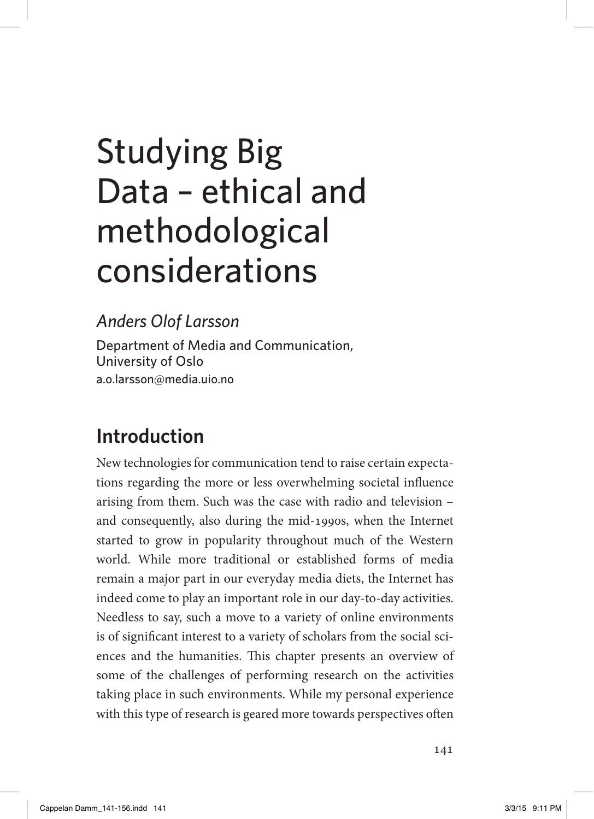# studying Big Data – ethical and methodological considerations

#### *Anders Olof Larsson*

Department of Media and Communication, University of Oslo [a.o.larsson@media.uio.no](mailto:a.o.larsson@media.uio.no)

## **Introduction**

New technologies for communication tend to raise certain expectations regarding the more or less overwhelming societal influence arising from them. Such was the case with radio and television – and consequently, also during the mid-1990s, when the Internet started to grow in popularity throughout much of the Western world. While more traditional or established forms of media remain a major part in our everyday media diets, the Internet has indeed come to play an important role in our day-to-day activities. Needless to say, such a move to a variety of online environments is of significant interest to a variety of scholars from the social sciences and the humanities. This chapter presents an overview of some of the challenges of performing research on the activities taking place in such environments. While my personal experience with this type of research is geared more towards perspectives often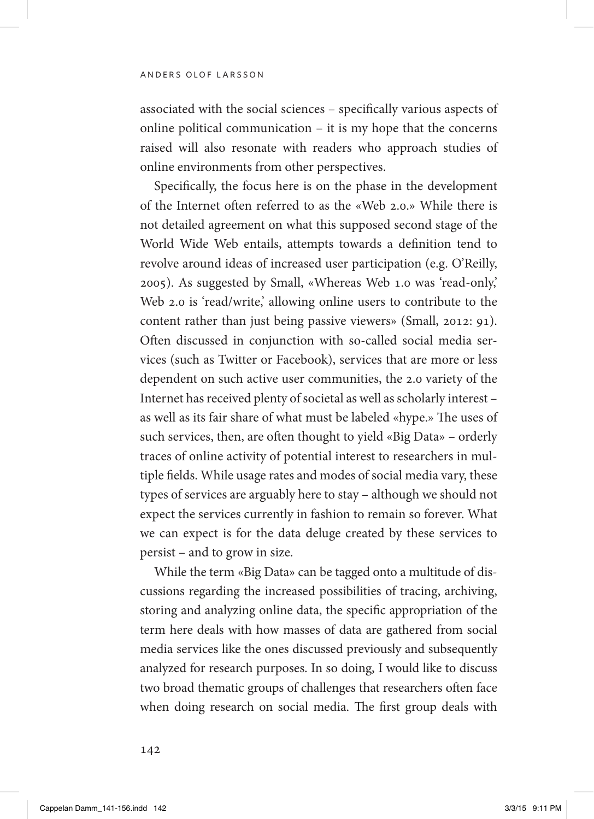associated with the social sciences – specifically various aspects of online political communication – it is my hope that the concerns raised will also resonate with readers who approach studies of online environments from other perspectives.

Specifically, the focus here is on the phase in the development of the Internet often referred to as the «Web 2.0.» While there is not detailed agreement on what this supposed second stage of the World Wide Web entails, attempts towards a definition tend to revolve around ideas of increased user participation (e.g. O'Reilly, 2005). As suggested by Small, «Whereas Web 1.0 was 'read-only,' Web 2.0 is 'read/write,' allowing online users to contribute to the content rather than just being passive viewers» (Small, 2012: 91). Often discussed in conjunction with so-called social media services (such as Twitter or Facebook), services that are more or less dependent on such active user communities, the 2.0 variety of the Internet has received plenty of societal as well as scholarly interest – as well as its fair share of what must be labeled «hype.» The uses of such services, then, are often thought to yield «Big Data» – orderly traces of online activity of potential interest to researchers in multiple fields. While usage rates and modes of social media vary, these types of services are arguably here to stay – although we should not expect the services currently in fashion to remain so forever. What we can expect is for the data deluge created by these services to persist – and to grow in size.

While the term «Big Data» can be tagged onto a multitude of discussions regarding the increased possibilities of tracing, archiving, storing and analyzing online data, the specific appropriation of the term here deals with how masses of data are gathered from social media services like the ones discussed previously and subsequently analyzed for research purposes. In so doing, I would like to discuss two broad thematic groups of challenges that researchers often face when doing research on social media. The first group deals with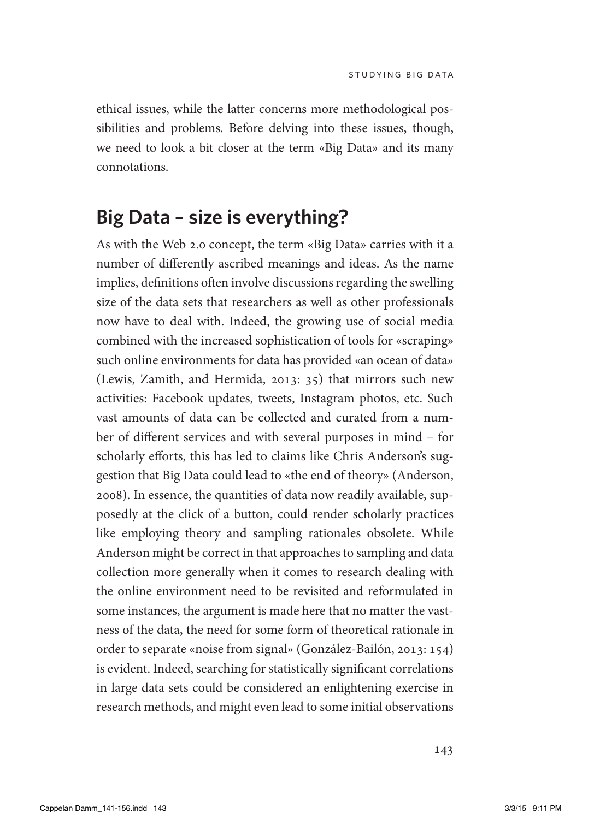ethical issues, while the latter concerns more methodological possibilities and problems. Before delving into these issues, though, we need to look a bit closer at the term «Big Data» and its many connotations.

#### **Big Data – size is everything?**

As with the Web 2.0 concept, the term «Big Data» carries with it a number of differently ascribed meanings and ideas. As the name implies, definitions often involve discussions regarding the swelling size of the data sets that researchers as well as other professionals now have to deal with. Indeed, the growing use of social media combined with the increased sophistication of tools for «scraping» such online environments for data has provided «an ocean of data» (Lewis, Zamith, and Hermida, 2013: 35) that mirrors such new activities: Facebook updates, tweets, Instagram photos, etc. Such vast amounts of data can be collected and curated from a number of different services and with several purposes in mind – for scholarly efforts, this has led to claims like Chris Anderson's suggestion that Big Data could lead to «the end of theory» (Anderson, 2008). In essence, the quantities of data now readily available, supposedly at the click of a button, could render scholarly practices like employing theory and sampling rationales obsolete. While Anderson might be correct in that approaches to sampling and data collection more generally when it comes to research dealing with the online environment need to be revisited and reformulated in some instances, the argument is made here that no matter the vastness of the data, the need for some form of theoretical rationale in order to separate «noise from signal» (González-Bailón, 2013: 154) is evident. Indeed, searching for statistically significant correlations in large data sets could be considered an enlightening exercise in research methods, and might even lead to some initial observations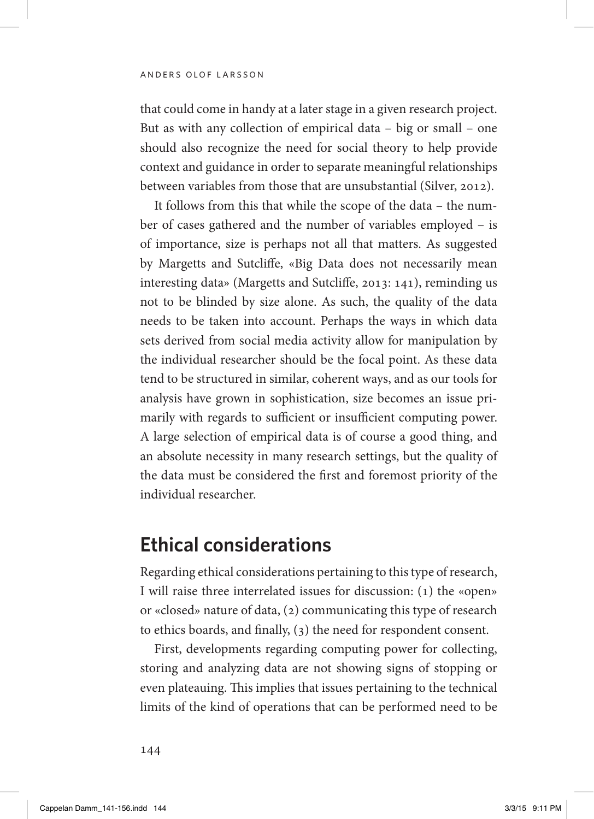that could come in handy at a later stage in a given research project. But as with any collection of empirical data – big or small – one should also recognize the need for social theory to help provide context and guidance in order to separate meaningful relationships between variables from those that are unsubstantial (Silver, 2012).

It follows from this that while the scope of the data – the number of cases gathered and the number of variables employed – is of importance, size is perhaps not all that matters. As suggested by Margetts and Sutcliffe, «Big Data does not necessarily mean interesting data» (Margetts and Sutcliffe, 2013: 141), reminding us not to be blinded by size alone. As such, the quality of the data needs to be taken into account. Perhaps the ways in which data sets derived from social media activity allow for manipulation by the individual researcher should be the focal point. As these data tend to be structured in similar, coherent ways, and as our tools for analysis have grown in sophistication, size becomes an issue primarily with regards to sufficient or insufficient computing power. A large selection of empirical data is of course a good thing, and an absolute necessity in many research settings, but the quality of the data must be considered the first and foremost priority of the individual researcher.

#### **Ethical considerations**

Regarding ethical considerations pertaining to this type of research, I will raise three interrelated issues for discussion: (1) the «open» or «closed» nature of data, (2) communicating this type of research to ethics boards, and finally, (3) the need for respondent consent.

First, developments regarding computing power for collecting, storing and analyzing data are not showing signs of stopping or even plateauing. This implies that issues pertaining to the technical limits of the kind of operations that can be performed need to be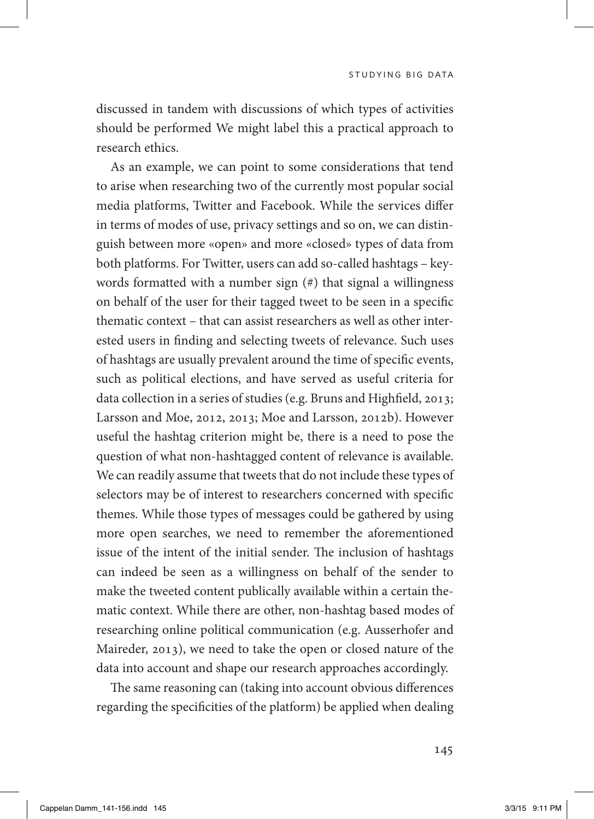studying big data

discussed in tandem with discussions of which types of activities should be performed We might label this a practical approach to research ethics.

As an example, we can point to some considerations that tend to arise when researching two of the currently most popular social media platforms, Twitter and Facebook. While the services differ in terms of modes of use, privacy settings and so on, we can distinguish between more «open» and more «closed» types of data from both platforms. For Twitter, users can add so-called hashtags – keywords formatted with a number sign (#) that signal a willingness on behalf of the user for their tagged tweet to be seen in a specific thematic context – that can assist researchers as well as other interested users in finding and selecting tweets of relevance. Such uses of hashtags are usually prevalent around the time of specific events, such as political elections, and have served as useful criteria for data collection in a series of studies (e.g. Bruns and Highfield, 2013; Larsson and Moe, 2012, 2013; Moe and Larsson, 2012b). However useful the hashtag criterion might be, there is a need to pose the question of what non-hashtagged content of relevance is available. We can readily assume that tweets that do not include these types of selectors may be of interest to researchers concerned with specific themes. While those types of messages could be gathered by using more open searches, we need to remember the aforementioned issue of the intent of the initial sender. The inclusion of hashtags can indeed be seen as a willingness on behalf of the sender to make the tweeted content publically available within a certain thematic context. While there are other, non-hashtag based modes of researching online political communication (e.g. Ausserhofer and Maireder, 2013), we need to take the open or closed nature of the data into account and shape our research approaches accordingly.

The same reasoning can (taking into account obvious differences regarding the specificities of the platform) be applied when dealing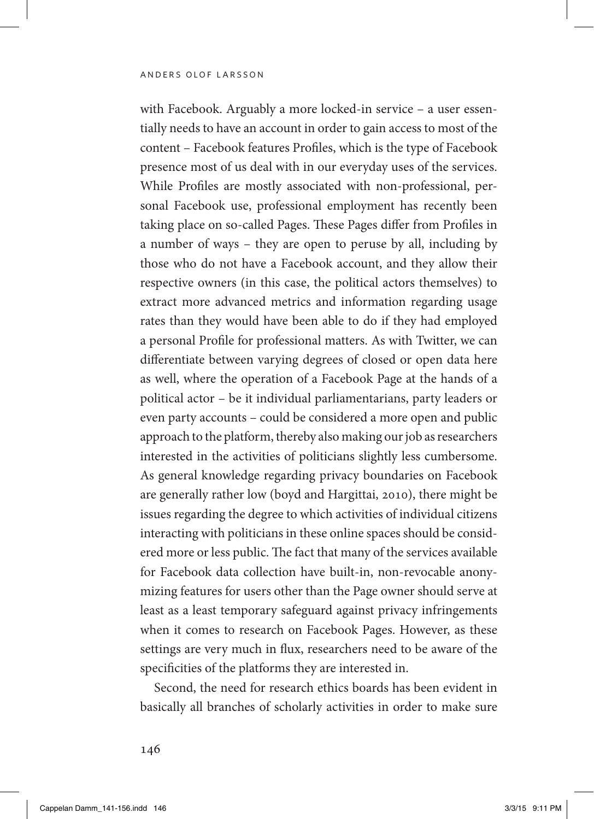with Facebook. Arguably a more locked-in service – a user essentially needs to have an account in order to gain access to most of the content – Facebook features Profiles, which is the type of Facebook presence most of us deal with in our everyday uses of the services. While Profiles are mostly associated with non-professional, personal Facebook use, professional employment has recently been taking place on so-called Pages. These Pages differ from Profiles in a number of ways – they are open to peruse by all, including by those who do not have a Facebook account, and they allow their respective owners (in this case, the political actors themselves) to extract more advanced metrics and information regarding usage rates than they would have been able to do if they had employed a personal Profile for professional matters. As with Twitter, we can differentiate between varying degrees of closed or open data here as well, where the operation of a Facebook Page at the hands of a political actor – be it individual parliamentarians, party leaders or even party accounts – could be considered a more open and public approach to the platform, thereby also making our job as researchers interested in the activities of politicians slightly less cumbersome. As general knowledge regarding privacy boundaries on Facebook are generally rather low (boyd and Hargittai, 2010), there might be issues regarding the degree to which activities of individual citizens interacting with politicians in these online spaces should be considered more or less public. The fact that many of the services available for Facebook data collection have built-in, non-revocable anonymizing features for users other than the Page owner should serve at least as a least temporary safeguard against privacy infringements when it comes to research on Facebook Pages. However, as these settings are very much in flux, researchers need to be aware of the specificities of the platforms they are interested in.

Second, the need for research ethics boards has been evident in basically all branches of scholarly activities in order to make sure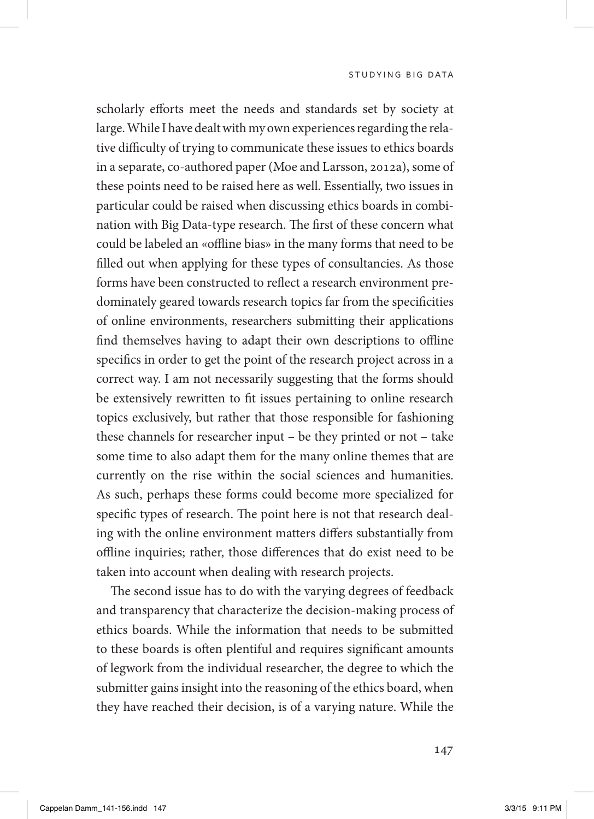scholarly efforts meet the needs and standards set by society at large. While I have dealt with my own experiences regarding the relative difficulty of trying to communicate these issues to ethics boards in a separate, co-authored paper (Moe and Larsson, 2012a), some of these points need to be raised here as well. Essentially, two issues in particular could be raised when discussing ethics boards in combination with Big Data-type research. The first of these concern what could be labeled an «offline bias» in the many forms that need to be filled out when applying for these types of consultancies. As those forms have been constructed to reflect a research environment predominately geared towards research topics far from the specificities of online environments, researchers submitting their applications find themselves having to adapt their own descriptions to offline specifics in order to get the point of the research project across in a correct way. I am not necessarily suggesting that the forms should be extensively rewritten to fit issues pertaining to online research topics exclusively, but rather that those responsible for fashioning these channels for researcher input – be they printed or not – take some time to also adapt them for the many online themes that are currently on the rise within the social sciences and humanities. As such, perhaps these forms could become more specialized for specific types of research. The point here is not that research dealing with the online environment matters differs substantially from offline inquiries; rather, those differences that do exist need to be taken into account when dealing with research projects.

The second issue has to do with the varying degrees of feedback and transparency that characterize the decision-making process of ethics boards. While the information that needs to be submitted to these boards is often plentiful and requires significant amounts of legwork from the individual researcher, the degree to which the submitter gains insight into the reasoning of the ethics board, when they have reached their decision, is of a varying nature. While the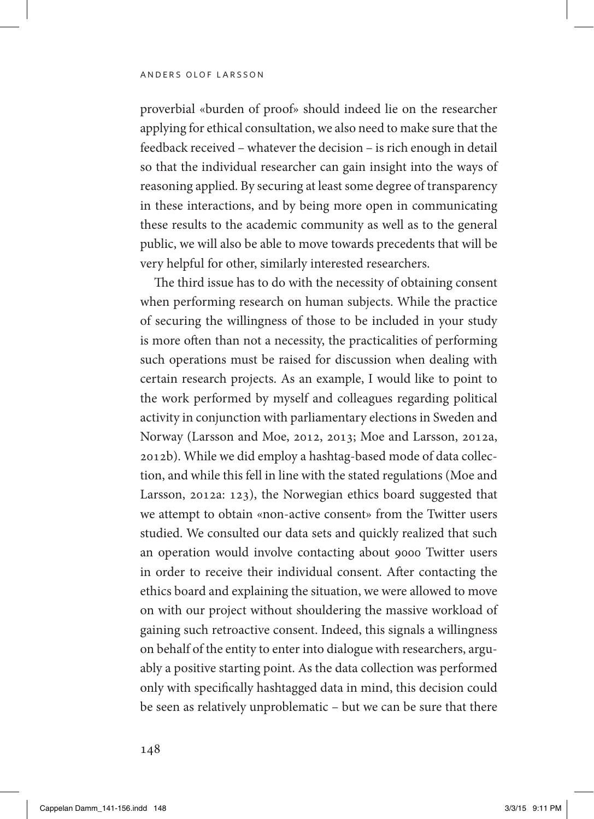proverbial «burden of proof» should indeed lie on the researcher applying for ethical consultation, we also need to make sure that the feedback received – whatever the decision – is rich enough in detail so that the individual researcher can gain insight into the ways of reasoning applied. By securing at least some degree of transparency in these interactions, and by being more open in communicating these results to the academic community as well as to the general public, we will also be able to move towards precedents that will be very helpful for other, similarly interested researchers.

The third issue has to do with the necessity of obtaining consent when performing research on human subjects. While the practice of securing the willingness of those to be included in your study is more often than not a necessity, the practicalities of performing such operations must be raised for discussion when dealing with certain research projects. As an example, I would like to point to the work performed by myself and colleagues regarding political activity in conjunction with parliamentary elections in Sweden and Norway (Larsson and Moe, 2012, 2013; Moe and Larsson, 2012a, 2012b). While we did employ a hashtag-based mode of data collection, and while this fell in line with the stated regulations (Moe and Larsson, 2012a: 123), the Norwegian ethics board suggested that we attempt to obtain «non-active consent» from the Twitter users studied. We consulted our data sets and quickly realized that such an operation would involve contacting about 9000 Twitter users in order to receive their individual consent. After contacting the ethics board and explaining the situation, we were allowed to move on with our project without shouldering the massive workload of gaining such retroactive consent. Indeed, this signals a willingness on behalf of the entity to enter into dialogue with researchers, arguably a positive starting point. As the data collection was performed only with specifically hashtagged data in mind, this decision could be seen as relatively unproblematic – but we can be sure that there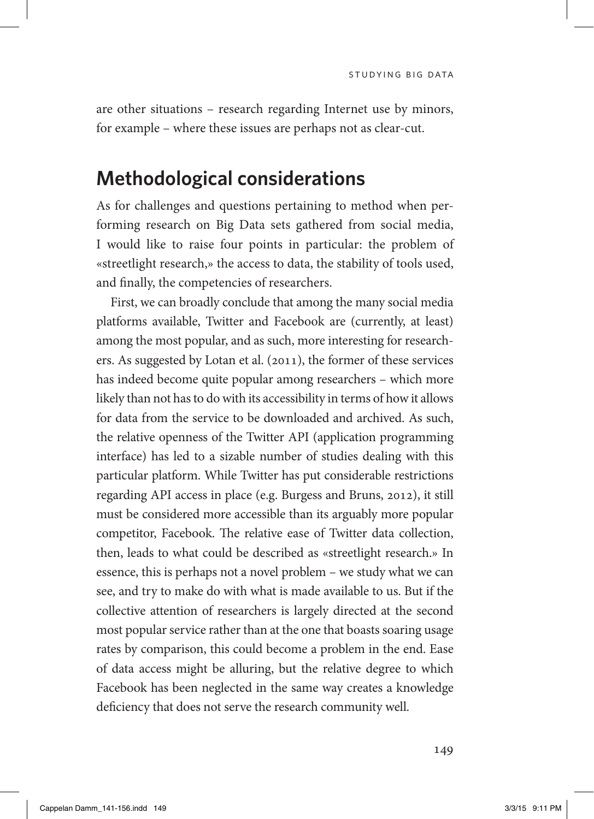are other situations – research regarding Internet use by minors, for example – where these issues are perhaps not as clear-cut.

#### **Methodological considerations**

As for challenges and questions pertaining to method when performing research on Big Data sets gathered from social media, I would like to raise four points in particular: the problem of «streetlight research,» the access to data, the stability of tools used, and finally, the competencies of researchers.

First, we can broadly conclude that among the many social media platforms available, Twitter and Facebook are (currently, at least) among the most popular, and as such, more interesting for researchers. As suggested by Lotan et al. (2011), the former of these services has indeed become quite popular among researchers – which more likely than not has to do with its accessibility in terms of how it allows for data from the service to be downloaded and archived. As such, the relative openness of the Twitter API (application programming interface) has led to a sizable number of studies dealing with this particular platform. While Twitter has put considerable restrictions regarding API access in place (e.g. Burgess and Bruns, 2012), it still must be considered more accessible than its arguably more popular competitor, Facebook. The relative ease of Twitter data collection, then, leads to what could be described as «streetlight research.» In essence, this is perhaps not a novel problem – we study what we can see, and try to make do with what is made available to us. But if the collective attention of researchers is largely directed at the second most popular service rather than at the one that boasts soaring usage rates by comparison, this could become a problem in the end. Ease of data access might be alluring, but the relative degree to which Facebook has been neglected in the same way creates a knowledge deficiency that does not serve the research community well.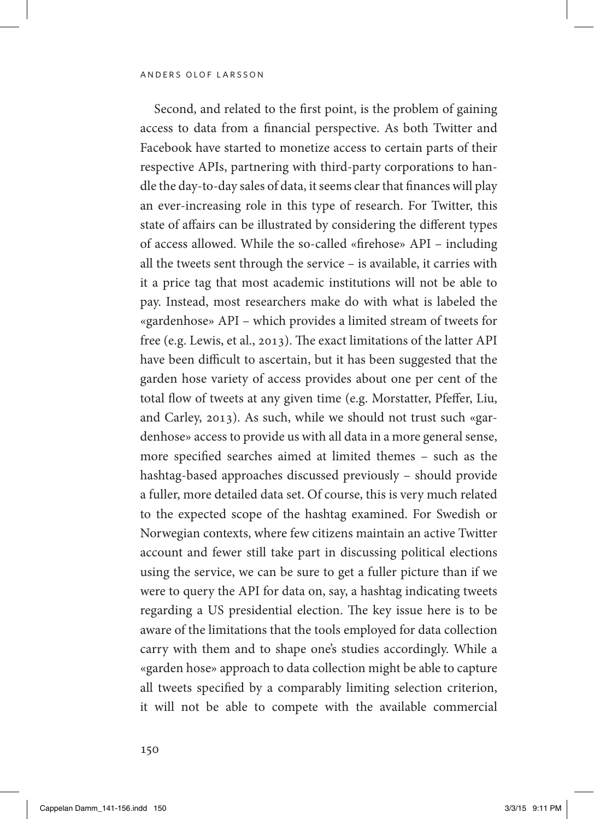Second, and related to the first point, is the problem of gaining access to data from a financial perspective. As both Twitter and Facebook have started to monetize access to certain parts of their respective APIs, partnering with third-party corporations to handle the day-to-day sales of data, it seems clear that finances will play an ever-increasing role in this type of research. For Twitter, this state of affairs can be illustrated by considering the different types of access allowed. While the so-called «firehose» API – including all the tweets sent through the service – is available, it carries with it a price tag that most academic institutions will not be able to pay. Instead, most researchers make do with what is labeled the «gardenhose» API – which provides a limited stream of tweets for free (e.g. Lewis, et al., 2013). The exact limitations of the latter API have been difficult to ascertain, but it has been suggested that the garden hose variety of access provides about one per cent of the total flow of tweets at any given time (e.g. Morstatter, Pfeffer, Liu, and Carley, 2013). As such, while we should not trust such «gardenhose» access to provide us with all data in a more general sense, more specified searches aimed at limited themes – such as the hashtag-based approaches discussed previously – should provide a fuller, more detailed data set. Of course, this is very much related to the expected scope of the hashtag examined. For Swedish or Norwegian contexts, where few citizens maintain an active Twitter account and fewer still take part in discussing political elections using the service, we can be sure to get a fuller picture than if we were to query the API for data on, say, a hashtag indicating tweets regarding a US presidential election. The key issue here is to be aware of the limitations that the tools employed for data collection carry with them and to shape one's studies accordingly. While a «garden hose» approach to data collection might be able to capture all tweets specified by a comparably limiting selection criterion, it will not be able to compete with the available commercial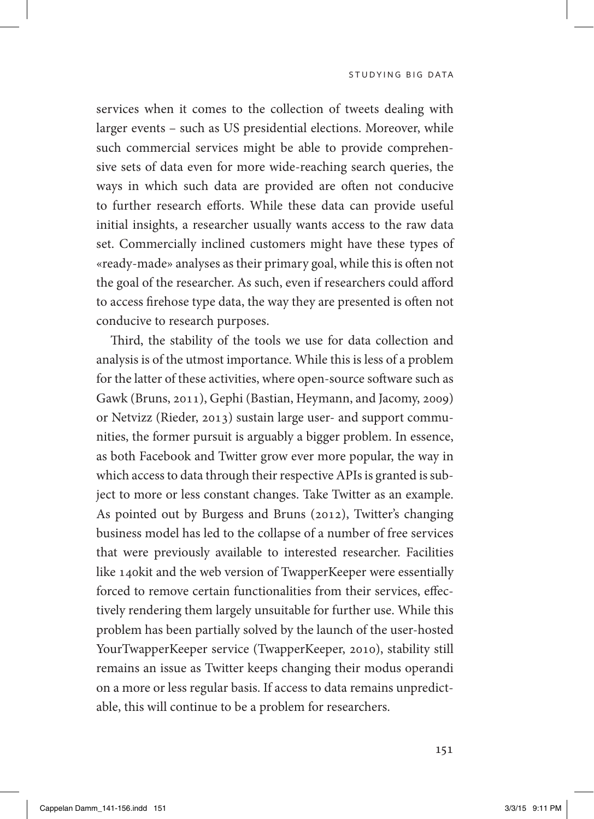studying big data

services when it comes to the collection of tweets dealing with larger events – such as US presidential elections. Moreover, while such commercial services might be able to provide comprehensive sets of data even for more wide-reaching search queries, the ways in which such data are provided are often not conducive to further research efforts. While these data can provide useful initial insights, a researcher usually wants access to the raw data set. Commercially inclined customers might have these types of «ready-made» analyses as their primary goal, while this is often not the goal of the researcher. As such, even if researchers could afford to access firehose type data, the way they are presented is often not conducive to research purposes.

Third, the stability of the tools we use for data collection and analysis is of the utmost importance. While this is less of a problem for the latter of these activities, where open-source software such as Gawk (Bruns, 2011), Gephi (Bastian, Heymann, and Jacomy, 2009) or Netvizz (Rieder, 2013) sustain large user- and support communities, the former pursuit is arguably a bigger problem. In essence, as both Facebook and Twitter grow ever more popular, the way in which access to data through their respective APIs is granted is subject to more or less constant changes. Take Twitter as an example. As pointed out by Burgess and Bruns (2012), Twitter's changing business model has led to the collapse of a number of free services that were previously available to interested researcher. Facilities like 140kit and the web version of TwapperKeeper were essentially forced to remove certain functionalities from their services, effectively rendering them largely unsuitable for further use. While this problem has been partially solved by the launch of the user-hosted YourTwapperKeeper service (TwapperKeeper, 2010), stability still remains an issue as Twitter keeps changing their modus operandi on a more or less regular basis. If access to data remains unpredictable, this will continue to be a problem for researchers.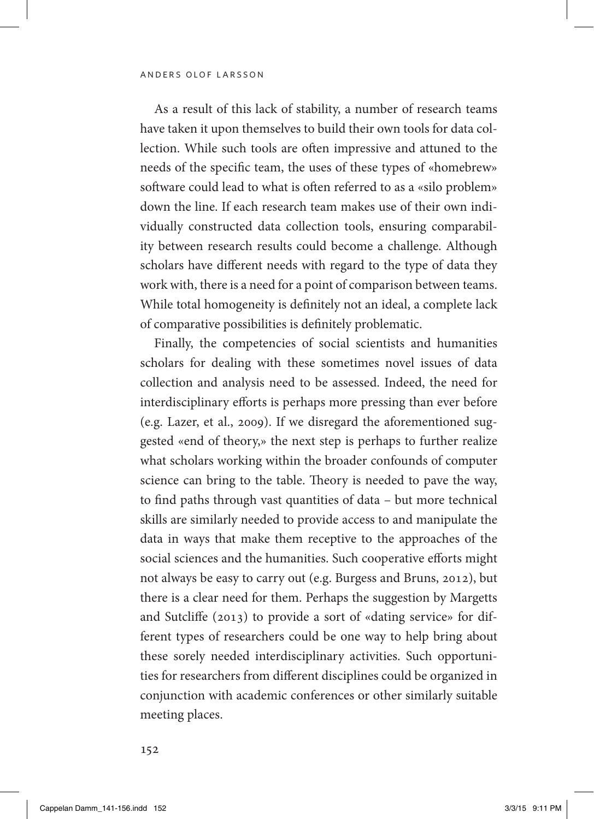As a result of this lack of stability, a number of research teams have taken it upon themselves to build their own tools for data collection. While such tools are often impressive and attuned to the needs of the specific team, the uses of these types of «homebrew» software could lead to what is often referred to as a «silo problem» down the line. If each research team makes use of their own individually constructed data collection tools, ensuring comparability between research results could become a challenge. Although scholars have different needs with regard to the type of data they work with, there is a need for a point of comparison between teams. While total homogeneity is definitely not an ideal, a complete lack of comparative possibilities is definitely problematic.

Finally, the competencies of social scientists and humanities scholars for dealing with these sometimes novel issues of data collection and analysis need to be assessed. Indeed, the need for interdisciplinary efforts is perhaps more pressing than ever before (e.g. Lazer, et al., 2009). If we disregard the aforementioned suggested «end of theory,» the next step is perhaps to further realize what scholars working within the broader confounds of computer science can bring to the table. Theory is needed to pave the way, to find paths through vast quantities of data – but more technical skills are similarly needed to provide access to and manipulate the data in ways that make them receptive to the approaches of the social sciences and the humanities. Such cooperative efforts might not always be easy to carry out (e.g. Burgess and Bruns, 2012), but there is a clear need for them. Perhaps the suggestion by Margetts and Sutcliffe (2013) to provide a sort of «dating service» for different types of researchers could be one way to help bring about these sorely needed interdisciplinary activities. Such opportunities for researchers from different disciplines could be organized in conjunction with academic conferences or other similarly suitable meeting places.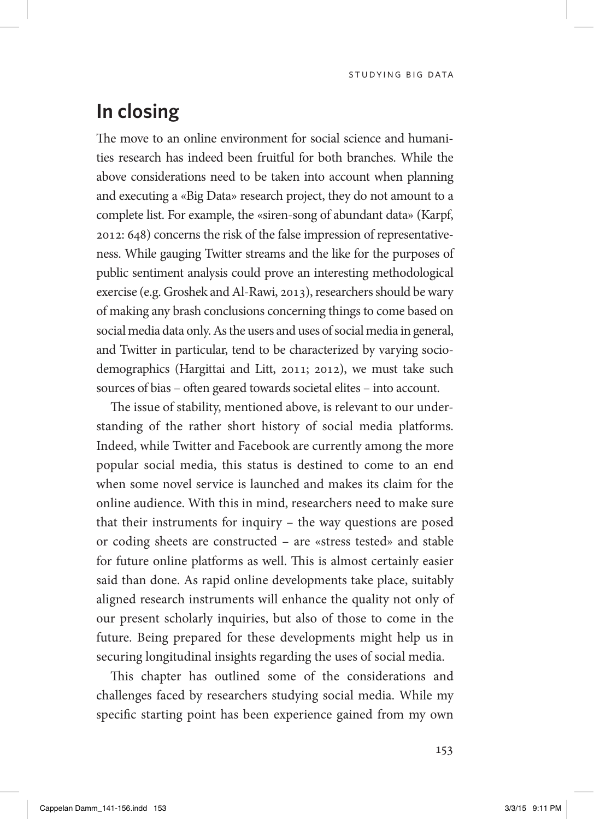#### **In closing**

The move to an online environment for social science and humanities research has indeed been fruitful for both branches. While the above considerations need to be taken into account when planning and executing a «Big Data» research project, they do not amount to a complete list. For example, the «siren-song of abundant data» (Karpf, 2012: 648) concerns the risk of the false impression of representativeness. While gauging Twitter streams and the like for the purposes of public sentiment analysis could prove an interesting methodological exercise (e.g. Groshek and Al-Rawi, 2013), researchers should be wary of making any brash conclusions concerning things to come based on social media data only. As the users and uses of social media in general, and Twitter in particular, tend to be characterized by varying sociodemographics (Hargittai and Litt, 2011; 2012), we must take such sources of bias – often geared towards societal elites – into account.

The issue of stability, mentioned above, is relevant to our understanding of the rather short history of social media platforms. Indeed, while Twitter and Facebook are currently among the more popular social media, this status is destined to come to an end when some novel service is launched and makes its claim for the online audience. With this in mind, researchers need to make sure that their instruments for inquiry – the way questions are posed or coding sheets are constructed – are «stress tested» and stable for future online platforms as well. This is almost certainly easier said than done. As rapid online developments take place, suitably aligned research instruments will enhance the quality not only of our present scholarly inquiries, but also of those to come in the future. Being prepared for these developments might help us in securing longitudinal insights regarding the uses of social media.

This chapter has outlined some of the considerations and challenges faced by researchers studying social media. While my specific starting point has been experience gained from my own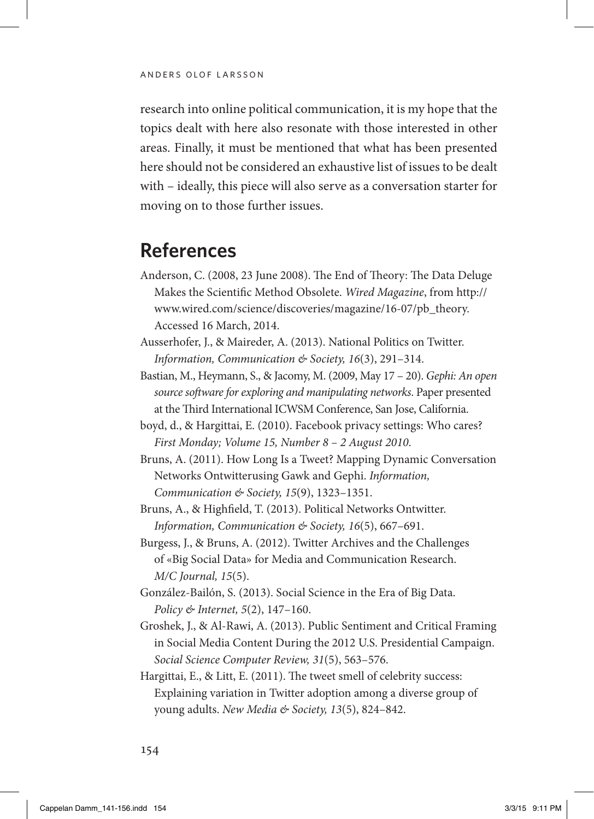research into online political communication, it is my hope that the topics dealt with here also resonate with those interested in other areas. Finally, it must be mentioned that what has been presented here should not be considered an exhaustive list of issues to be dealt with – ideally, this piece will also serve as a conversation starter for moving on to those further issues.

### **References**

- Anderson, C. (2008, 23 June 2008). The End of Theory: The Data Deluge Makes the Scientific Method Obsolete. *Wired Magazine*, from [http://](http://www.wired.com/science/discoveries/magazine/16-07/pb_theory) [www.wired.com/science/discoveries/magazine/16-07/pb\\_theory.](http://www.wired.com/science/discoveries/magazine/16-07/pb_theory) Accessed 16 March, 2014.
- Ausserhofer, J., & Maireder, A. (2013). National Politics on Twitter. *Information, Communication & Society, 16*(3), 291–314.
- Bastian, M., Heymann, S., & Jacomy, M. (2009, May 17 20). *Gephi: An open source software for exploring and manipulating networks*. Paper presented at the Third International ICWSM Conference, San Jose, California.
- boyd, d., & Hargittai, E. (2010). Facebook privacy settings: Who cares? *First Monday; Volume 15, Number 8 – 2 August 2010*.
- Bruns, A. (2011). How Long Is a Tweet? Mapping Dynamic Conversation Networks Ontwitterusing Gawk and Gephi. *Information, Communication & Society, 15*(9), 1323–1351.
- Bruns, A., & Highfield, T. (2013). Political Networks Ontwitter. *Information, Communication & Society, 16*(5), 667–691.
- Burgess, J., & Bruns, A. (2012). Twitter Archives and the Challenges of «Big Social Data» for Media and Communication Research. *M/C Journal, 15*(5).
- González-Bailón, S. (2013). Social Science in the Era of Big Data. *Policy & Internet, 5*(2), 147–160.
- Groshek, J., & Al-Rawi, A. (2013). Public Sentiment and Critical Framing in Social Media Content During the 2012 U.S. Presidential Campaign. *Social Science Computer Review, 31*(5), 563–576.
- Hargittai, E., & Litt, E. (2011). The tweet smell of celebrity success: Explaining variation in Twitter adoption among a diverse group of young adults. *New Media & Society, 13*(5), 824–842.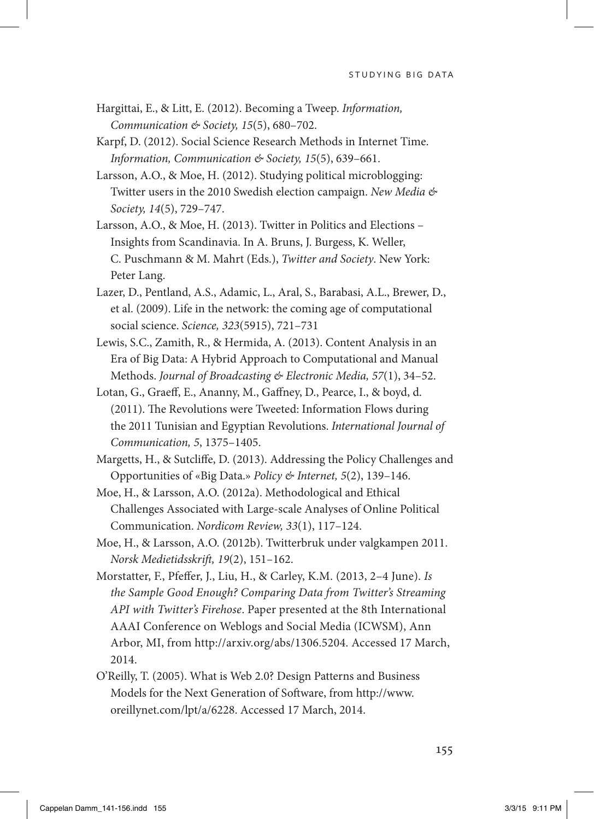- Hargittai, E., & Litt, E. (2012). Becoming a Tweep. *Information, Communication & Society, 15*(5), 680–702.
- Karpf, D. (2012). Social Science Research Methods in Internet Time. *Information, Communication & Society, 15*(5), 639–661.
- Larsson, A.O., & Moe, H. (2012). Studying political microblogging: Twitter users in the 2010 Swedish election campaign. *New Media & Society, 14*(5), 729–747.
- Larsson, A.O., & Moe, H. (2013). Twitter in Politics and Elections Insights from Scandinavia. In A. Bruns, J. Burgess, K. Weller, C. Puschmann & M. Mahrt (Eds.), *Twitter and Society*. New York: Peter Lang.
- Lazer, D., Pentland, A.S., Adamic, L., Aral, S., Barabasi, A.L., Brewer, D., et al. (2009). Life in the network: the coming age of computational social science. *Science, 323*(5915), 721–731
- Lewis, S.C., Zamith, R., & Hermida, A. (2013). Content Analysis in an Era of Big Data: A Hybrid Approach to Computational and Manual Methods. *Journal of Broadcasting & Electronic Media, 57*(1), 34–52.
- Lotan, G., Graeff, E., Ananny, M., Gaffney, D., Pearce, I., & boyd, d. (2011). The Revolutions were Tweeted: Information Flows during the 2011 Tunisian and Egyptian Revolutions. *International Journal of Communication, 5*, 1375–1405.
- Margetts, H., & Sutcliffe, D. (2013). Addressing the Policy Challenges and Opportunities of «Big Data.» *Policy & Internet, 5*(2), 139–146.
- Moe, H., & Larsson, A.O. (2012a). Methodological and Ethical Challenges Associated with Large-scale Analyses of Online Political Communication. *Nordicom Review, 33*(1), 117–124.
- Moe, H., & Larsson, A.O. (2012b). Twitterbruk under valgkampen 2011. *Norsk Medietidsskrift, 19*(2), 151–162.
- Morstatter, F., Pfeffer, J., Liu, H., & Carley, K.M. (2013, 2–4 June). *Is the Sample Good Enough? Comparing Data from Twitter's Streaming API with Twitter's Firehose*. Paper presented at the 8th International AAAI Conference on Weblogs and Social Media (ICWSM), Ann Arbor, MI, from [http://arxiv.org/abs/1306.5204.](http://arxiv.org/abs/1306.5204) Accessed 17 March, 2014.
- O'Reilly, T. (2005). What is Web 2.0? Design Patterns and Business Models for the Next Generation of Software, from [http://www.](http://www.oreillynet.com/lpt/a/6228) [oreillynet.com/lpt/a/6228](http://www.oreillynet.com/lpt/a/6228). Accessed 17 March, 2014.